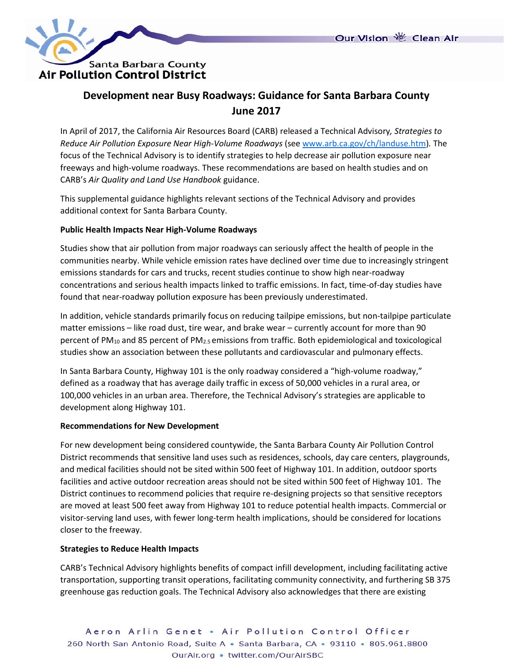

## **Development near Busy Roadways: Guidance for Santa Barbara County June 2017**

In April of 2017, the California Air Resources Board (CARB) released a Technical Advisory*, Strategies to Reduce Air Pollution Exposure Near High-Volume Roadways* (see [www.arb.ca.gov/ch/landuse.htm\)](http://www.arb.ca.gov/ch/landuse.htm)*.* The focus of the Technical Advisory is to identify strategies to help decrease air pollution exposure near freeways and high-volume roadways. These recommendations are based on health studies and on CARB's *Air Quality and Land Use Handbook* guidance.

This supplemental guidance highlights relevant sections of the Technical Advisory and provides additional context for Santa Barbara County.

## **Public Health Impacts Near High-Volume Roadways**

Studies show that air pollution from major roadways can seriously affect the health of people in the communities nearby. While vehicle emission rates have declined over time due to increasingly stringent emissions standards for cars and trucks, recent studies continue to show high near-roadway concentrations and serious health impacts linked to traffic emissions. In fact, time-of-day studies have found that near-roadway pollution exposure has been previously underestimated.

In addition, vehicle standards primarily focus on reducing tailpipe emissions, but non-tailpipe particulate matter emissions – like road dust, tire wear, and brake wear – currently account for more than 90 percent of PM<sub>10</sub> and 85 percent of PM<sub>2.5</sub> emissions from traffic. Both epidemiological and toxicological studies show an association between these pollutants and cardiovascular and pulmonary effects.

In Santa Barbara County, Highway 101 is the only roadway considered a "high-volume roadway," defined as a roadway that has average daily traffic in excess of 50,000 vehicles in a rural area, or 100,000 vehicles in an urban area. Therefore, the Technical Advisory's strategies are applicable to development along Highway 101.

## **Recommendations for New Development**

For new development being considered countywide, the Santa Barbara County Air Pollution Control District recommends that sensitive land uses such as residences, schools, day care centers, playgrounds, and medical facilities should not be sited within 500 feet of Highway 101. In addition, outdoor sports facilities and active outdoor recreation areas should not be sited within 500 feet of Highway 101. The District continues to recommend policies that require re-designing projects so that sensitive receptors are moved at least 500 feet away from Highway 101 to reduce potential health impacts. Commercial or visitor-serving land uses, with fewer long-term health implications, should be considered for locations closer to the freeway.

## **Strategies to Reduce Health Impacts**

CARB's Technical Advisory highlights benefits of compact infill development, including facilitating active transportation, supporting transit operations, facilitating community connectivity, and furthering SB 375 greenhouse gas reduction goals. The Technical Advisory also acknowledges that there are existing